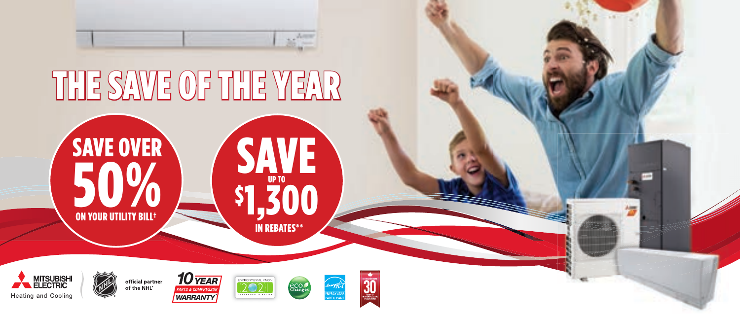

## THE SAWE OF THE YEAR